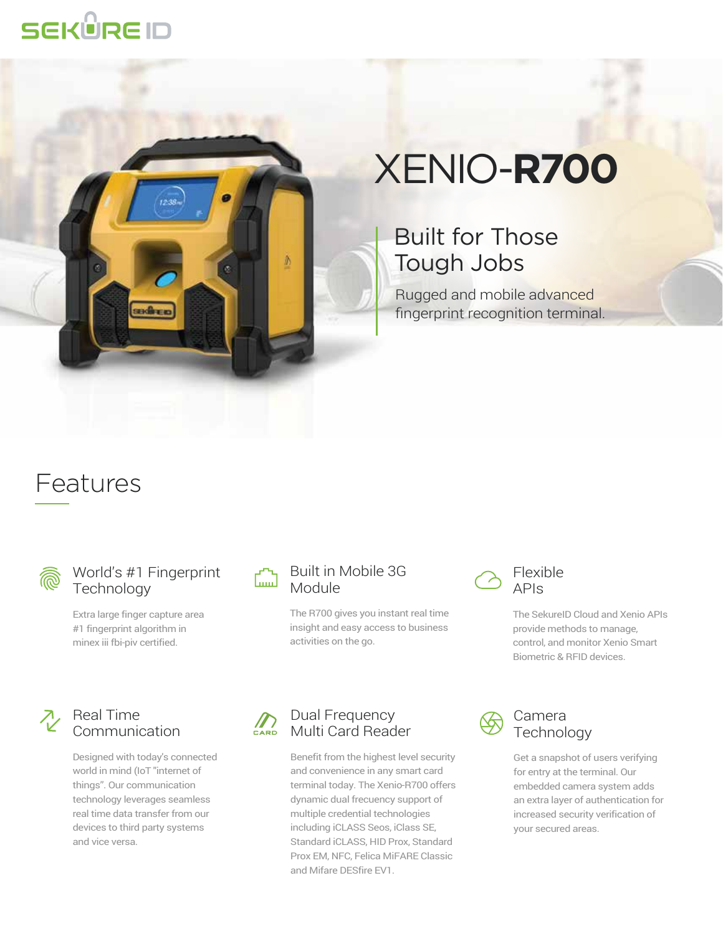## **SEKÜRE ID**



# XENIO-**R700**

### Built for Those Tough Jobs

Rugged and mobile advanced fingerprint recognition terminal.

## Features



#### World's #1 Fingerprint Technology

Extra large finger capture area #1 fingerprint algorithm in minex iii fbi-piv certified.

#### Built in Mobile 3G استنا Module

The R700 gives you instant real time insight and easy access to business activities on the go.

#### Flexible APIs

The SekureID Cloud and Xenio APIs provide methods to manage, control, and monitor Xenio Smart Biometric & RFID devices.

### $\lambda$  Real Time Communication

Designed with today's connected world in mind (IoT "internet of things". Our communication technology leverages seamless real time data transfer from our devices to third party systems and vice versa.

#### Dual Frequency  $\sum_{C \text{ARD}}$ Multi Card Reader

Benefit from the highest level security and convenience in any smart card terminal today. The Xenio-R700 offers dynamic dual frecuency support of multiple credential technologies including iCLASS Seos, iClass SE, Standard iCLASS, HID Prox, Standard Prox EM, NFC, Felica MiFARE Classic and Mifare DESfire EV1.



#### Camera **Technology**

Get a snapshot of users verifying for entry at the terminal. Our embedded camera system adds an extra layer of authentication for increased security verification of your secured areas.